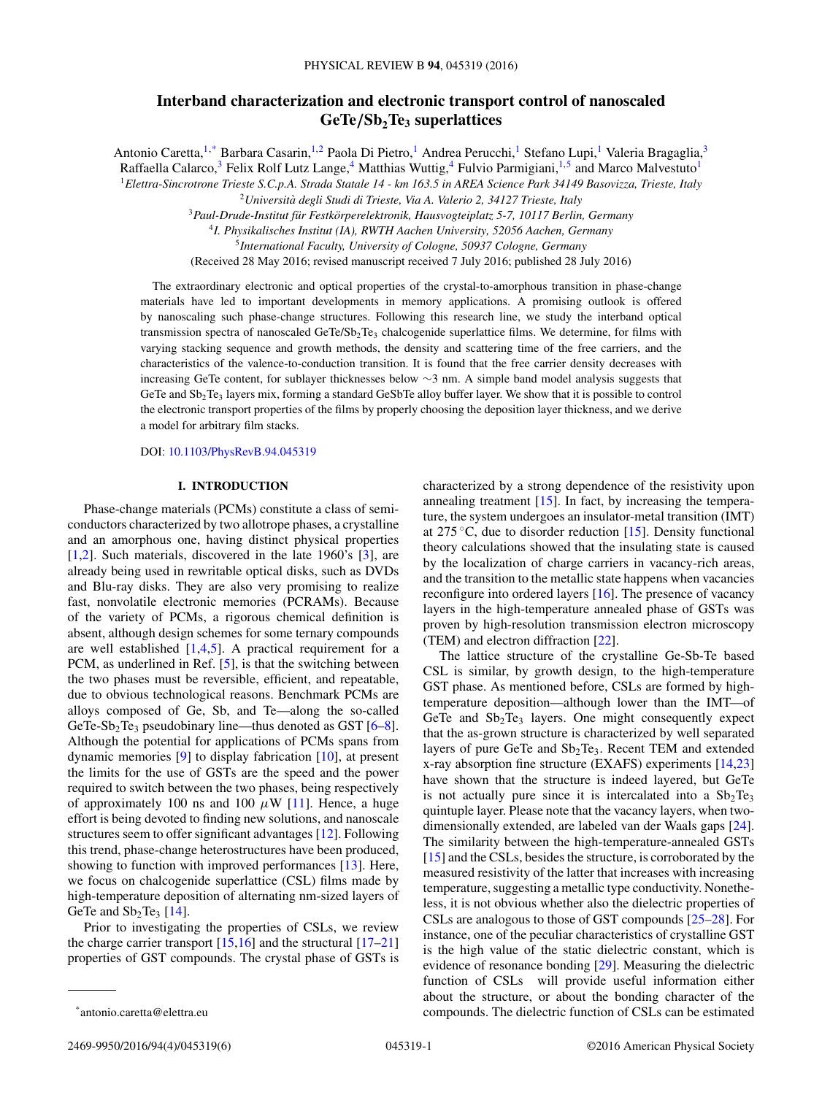# **Interband characterization and electronic transport control of nanoscaled GeTe***/***Sb2Te3 superlattices**

Antonio Caretta,<sup>1,\*</sup> Barbara Casarin,<sup>1,2</sup> Paola Di Pietro,<sup>1</sup> Andrea Perucchi,<sup>1</sup> Stefano Lupi,<sup>1</sup> Valeria Bragaglia,<sup>3</sup> Raffaella Calarco,<sup>3</sup> Felix Rolf Lutz Lange,<sup>4</sup> Matthias Wuttig,<sup>4</sup> Fulvio Parmigiani,<sup>1,5</sup> and Marco Malvestuto<sup>1</sup>

<sup>1</sup>*Elettra-Sincrotrone Trieste S.C.p.A. Strada Statale 14 - km 163.5 in AREA Science Park 34149 Basovizza, Trieste, Italy*

<sup>2</sup>*Universita degli Studi di Trieste, Via A. Valerio 2, 34127 Trieste, Italy `*

<sup>3</sup>*Paul-Drude-Institut fur Festk ¨ orperelektronik, Hausvogteiplatz 5-7, 10117 Berlin, Germany ¨*

<sup>4</sup>*I. Physikalisches Institut (IA), RWTH Aachen University, 52056 Aachen, Germany*

<sup>5</sup>*International Faculty, University of Cologne, 50937 Cologne, Germany*

(Received 28 May 2016; revised manuscript received 7 July 2016; published 28 July 2016)

The extraordinary electronic and optical properties of the crystal-to-amorphous transition in phase-change materials have led to important developments in memory applications. A promising outlook is offered by nanoscaling such phase-change structures. Following this research line, we study the interband optical transmission spectra of nanoscaled GeTe/Sb<sub>2</sub>Te<sub>3</sub> chalcogenide superlattice films. We determine, for films with varying stacking sequence and growth methods, the density and scattering time of the free carriers, and the characteristics of the valence-to-conduction transition. It is found that the free carrier density decreases with increasing GeTe content, for sublayer thicknesses below ∼3 nm. A simple band model analysis suggests that GeTe and Sb2Te3 layers mix, forming a standard GeSbTe alloy buffer layer. We show that it is possible to control the electronic transport properties of the films by properly choosing the deposition layer thickness, and we derive a model for arbitrary film stacks.

DOI: [10.1103/PhysRevB.94.045319](http://dx.doi.org/10.1103/PhysRevB.94.045319)

## **I. INTRODUCTION**

Phase-change materials (PCMs) constitute a class of semiconductors characterized by two allotrope phases, a crystalline and an amorphous one, having distinct physical properties [\[1,2\]](#page-4-0). Such materials, discovered in the late 1960's [\[3\]](#page-4-0), are already being used in rewritable optical disks, such as DVDs and Blu-ray disks. They are also very promising to realize fast, nonvolatile electronic memories (PCRAMs). Because of the variety of PCMs, a rigorous chemical definition is absent, although design schemes for some ternary compounds are well established  $[1,4,5]$ . A practical requirement for a PCM, as underlined in Ref. [\[5\]](#page-4-0), is that the switching between the two phases must be reversible, efficient, and repeatable, due to obvious technological reasons. Benchmark PCMs are alloys composed of Ge, Sb, and Te—along the so-called GeTe-Sb<sub>2</sub>Te<sub>3</sub> pseudobinary line—thus denoted as GST  $[6-8]$ . Although the potential for applications of PCMs spans from dynamic memories [\[9\]](#page-4-0) to display fabrication [\[10\]](#page-4-0), at present the limits for the use of GSTs are the speed and the power required to switch between the two phases, being respectively of approximately 100 ns and 100  $\mu$ W [\[11\]](#page-5-0). Hence, a huge effort is being devoted to finding new solutions, and nanoscale structures seem to offer significant advantages [\[12\]](#page-5-0). Following this trend, phase-change heterostructures have been produced, showing to function with improved performances [\[13\]](#page-5-0). Here, we focus on chalcogenide superlattice (CSL) films made by high-temperature deposition of alternating nm-sized layers of GeTe and  $Sb<sub>2</sub>Te<sub>3</sub>$  [\[14\]](#page-5-0).

Prior to investigating the properties of CSLs, we review the charge carrier transport  $[15,16]$  and the structural  $[17-21]$ properties of GST compounds. The crystal phase of GSTs is

characterized by a strong dependence of the resistivity upon annealing treatment  $[15]$ . In fact, by increasing the temperature, the system undergoes an insulator-metal transition (IMT) at 275  $\degree$ C, due to disorder reduction [\[15\]](#page-5-0). Density functional theory calculations showed that the insulating state is caused by the localization of charge carriers in vacancy-rich areas, and the transition to the metallic state happens when vacancies reconfigure into ordered layers [\[16\]](#page-5-0). The presence of vacancy layers in the high-temperature annealed phase of GSTs was proven by high-resolution transmission electron microscopy (TEM) and electron diffraction [\[22\]](#page-5-0).

The lattice structure of the crystalline Ge-Sb-Te based CSL is similar, by growth design, to the high-temperature GST phase. As mentioned before, CSLs are formed by hightemperature deposition—although lower than the IMT—of GeTe and  $Sb<sub>2</sub>Te<sub>3</sub>$  layers. One might consequently expect that the as-grown structure is characterized by well separated layers of pure GeTe and  $Sb<sub>2</sub>Te<sub>3</sub>$ . Recent TEM and extended x-ray absorption fine structure (EXAFS) experiments [\[14,23\]](#page-5-0) have shown that the structure is indeed layered, but GeTe is not actually pure since it is intercalated into a  $Sb<sub>2</sub>Te<sub>3</sub>$ quintuple layer. Please note that the vacancy layers, when twodimensionally extended, are labeled van der Waals gaps [\[24\]](#page-5-0). The similarity between the high-temperature-annealed GSTs [\[15\]](#page-5-0) and the CSLs, besides the structure, is corroborated by the measured resistivity of the latter that increases with increasing temperature, suggesting a metallic type conductivity. Nonetheless, it is not obvious whether also the dielectric properties of CSLs are analogous to those of GST compounds [\[25–28\]](#page-5-0). For instance, one of the peculiar characteristics of crystalline GST is the high value of the static dielectric constant, which is evidence of resonance bonding [\[29\]](#page-5-0). Measuring the dielectric function of CSLs will provide useful information either about the structure, or about the bonding character of the compounds. The dielectric function of CSLs can be estimated

<sup>\*</sup>antonio.caretta@elettra.eu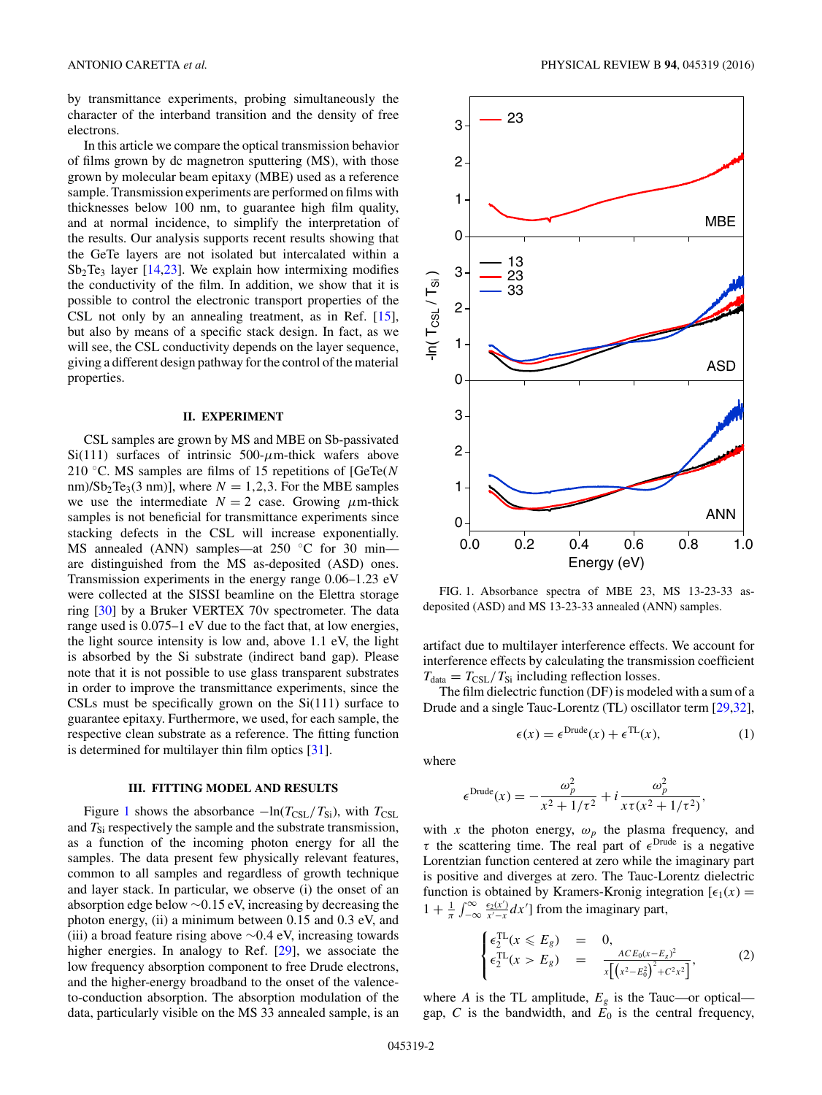<span id="page-1-0"></span>by transmittance experiments, probing simultaneously the character of the interband transition and the density of free electrons.

In this article we compare the optical transmission behavior of films grown by dc magnetron sputtering (MS), with those grown by molecular beam epitaxy (MBE) used as a reference sample. Transmission experiments are performed on films with thicknesses below 100 nm, to guarantee high film quality, and at normal incidence, to simplify the interpretation of the results. Our analysis supports recent results showing that the GeTe layers are not isolated but intercalated within a  $Sb<sub>2</sub>Te<sub>3</sub>$  layer [\[14,23\]](#page-5-0). We explain how intermixing modifies the conductivity of the film. In addition, we show that it is possible to control the electronic transport properties of the CSL not only by an annealing treatment, as in Ref. [\[15\]](#page-5-0), but also by means of a specific stack design. In fact, as we will see, the CSL conductivity depends on the layer sequence, giving a different design pathway for the control of the material properties.

### **II. EXPERIMENT**

CSL samples are grown by MS and MBE on Sb-passivated Si(111) surfaces of intrinsic  $500-\mu$ m-thick wafers above 210 ◦C. MS samples are films of 15 repetitions of [GeTe(*N* nm)/Sb<sub>2</sub>Te<sub>3</sub>(3 nm)], where  $N = 1,2,3$ . For the MBE samples we use the intermediate  $N = 2$  case. Growing  $\mu$ m-thick samples is not beneficial for transmittance experiments since stacking defects in the CSL will increase exponentially. MS annealed (ANN) samples—at 250 °C for 30 min are distinguished from the MS as-deposited (ASD) ones. Transmission experiments in the energy range 0.06–1.23 eV were collected at the SISSI beamline on the Elettra storage ring [\[30\]](#page-5-0) by a Bruker VERTEX 70v spectrometer. The data range used is 0.075–1 eV due to the fact that, at low energies, the light source intensity is low and, above 1.1 eV, the light is absorbed by the Si substrate (indirect band gap). Please note that it is not possible to use glass transparent substrates in order to improve the transmittance experiments, since the CSLs must be specifically grown on the  $Si(111)$  surface to guarantee epitaxy. Furthermore, we used, for each sample, the respective clean substrate as a reference. The fitting function is determined for multilayer thin film optics [\[31\]](#page-5-0).

#### **III. FITTING MODEL AND RESULTS**

Figure 1 shows the absorbance  $-\ln(T_{CSL}/T_{Si})$ , with  $T_{CSL}$ and  $T_{\rm Si}$  respectively the sample and the substrate transmission, as a function of the incoming photon energy for all the samples. The data present few physically relevant features, common to all samples and regardless of growth technique and layer stack. In particular, we observe (i) the onset of an absorption edge below ∼0*.*15 eV, increasing by decreasing the photon energy, (ii) a minimum between 0.15 and 0.3 eV, and (iii) a broad feature rising above ∼0*.*4 eV, increasing towards higher energies. In analogy to Ref. [\[29\]](#page-5-0), we associate the low frequency absorption component to free Drude electrons, and the higher-energy broadband to the onset of the valenceto-conduction absorption. The absorption modulation of the data, particularly visible on the MS 33 annealed sample, is an



FIG. 1. Absorbance spectra of MBE 23, MS 13-23-33 asdeposited (ASD) and MS 13-23-33 annealed (ANN) samples.

artifact due to multilayer interference effects. We account for interference effects by calculating the transmission coefficient  $T_{\text{data}} = T_{\text{CSL}}/T_{\text{Si}}$  including reflection losses.

The film dielectric function (DF) is modeled with a sum of a Drude and a single Tauc-Lorentz (TL) oscillator term [\[29,32\]](#page-5-0),

$$
\epsilon(x) = \epsilon^{\text{Drude}}(x) + \epsilon^{\text{TL}}(x),\tag{1}
$$

where

$$
\epsilon^{\text{Drude}}(x) = -\frac{\omega_p^2}{x^2 + 1/\tau^2} + i \frac{\omega_p^2}{x \tau (x^2 + 1/\tau^2)},
$$

with *x* the photon energy,  $\omega_p$  the plasma frequency, and *τ* the scattering time. The real part of  $\epsilon^{\text{Drude}}$  is a negative Lorentzian function centered at zero while the imaginary part is positive and diverges at zero. The Tauc-Lorentz dielectric function is obtained by Kramers-Kronig integration  $[\epsilon_1(x)]$  $1 + \frac{1}{\pi} \int_{-\infty}^{\infty}$ −∞  $\frac{\epsilon_2(x')}{x'-x}dx'$ ] from the imaginary part,

$$
\begin{cases}\n\epsilon_2^{\text{TL}}(x \leqslant E_g) &= 0, \\
\epsilon_2^{\text{TL}}(x > E_g) &= \frac{ACE_0(x - E_g)^2}{x\left[\left(x^2 - E_0^2\right)^2 + C^2 x^2\right]},\n\end{cases} \tag{2}
$$

where *A* is the TL amplitude,  $E<sub>g</sub>$  is the Tauc—or optical gap,  $C$  is the bandwidth, and  $E_0$  is the central frequency,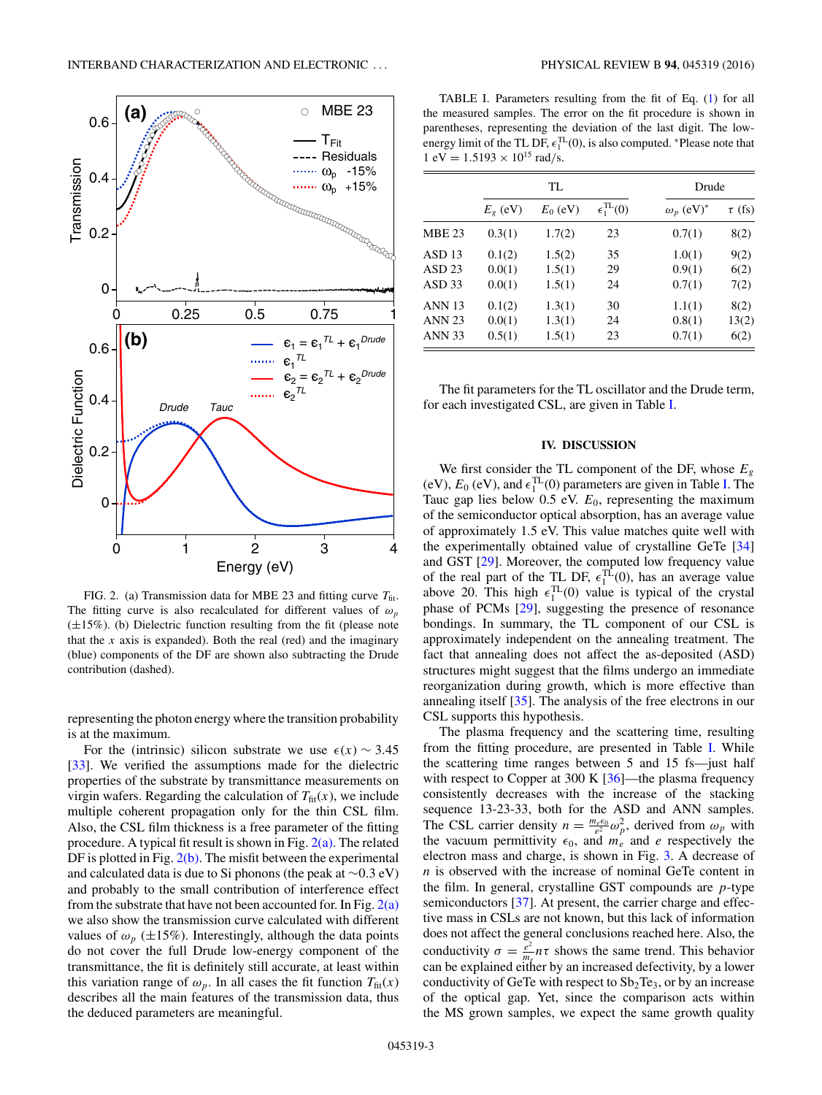

FIG. 2. (a) Transmission data for MBE 23 and fitting curve  $T_{\text{fit}}$ . The fitting curve is also recalculated for different values of  $\omega_p$ (±15%). (b) Dielectric function resulting from the fit (please note that the  $x$  axis is expanded). Both the real (red) and the imaginary (blue) components of the DF are shown also subtracting the Drude contribution (dashed).

representing the photon energy where the transition probability is at the maximum.

For the (intrinsic) silicon substrate we use  $\epsilon(x) \sim 3.45$ [\[33\]](#page-5-0). We verified the assumptions made for the dielectric properties of the substrate by transmittance measurements on virgin wafers. Regarding the calculation of  $T_{\text{fit}}(x)$ , we include multiple coherent propagation only for the thin CSL film. Also, the CSL film thickness is a free parameter of the fitting procedure. A typical fit result is shown in Fig.  $2(a)$ . The related DF is plotted in Fig.  $2(b)$ . The misfit between the experimental and calculated data is due to Si phonons (the peak at ∼0*.*3 eV) and probably to the small contribution of interference effect from the substrate that have not been accounted for. In Fig.  $2(a)$ we also show the transmission curve calculated with different values of  $\omega_p$  ( $\pm 15\%$ ). Interestingly, although the data points do not cover the full Drude low-energy component of the transmittance, the fit is definitely still accurate, at least within this variation range of  $\omega_p$ . In all cases the fit function  $T_{\text{fit}}(x)$ describes all the main features of the transmission data, thus the deduced parameters are meaningful.

TABLE I. Parameters resulting from the fit of Eq. [\(1\)](#page-1-0) for all the measured samples. The error on the fit procedure is shown in parentheses, representing the deviation of the last digit. The lowenergy limit of the TL DF,  $\epsilon_1^{\text{TL}}(0)$ , is also computed. \*Please note that  $1 \text{ eV} = 1.5193 \times 10^{15} \text{ rad/s}.$ 

|                   | TL.          |            |                             | Drude                        |             |
|-------------------|--------------|------------|-----------------------------|------------------------------|-------------|
|                   | $E_{g}$ (eV) | $E_0$ (eV) | $\epsilon_1^{\text{TL}}(0)$ | $\omega_p$ (eV) <sup>*</sup> | $\tau$ (fs) |
| <b>MBE 23</b>     | 0.3(1)       | 1.7(2)     | 23                          | 0.7(1)                       | 8(2)        |
| ASD <sub>13</sub> | 0.1(2)       | 1.5(2)     | 35                          | 1.0(1)                       | 9(2)        |
| ASD <sub>23</sub> | 0.0(1)       | 1.5(1)     | 29                          | 0.9(1)                       | 6(2)        |
| ASD <sub>33</sub> | 0.0(1)       | 1.5(1)     | 24                          | 0.7(1)                       | 7(2)        |
| <b>ANN 13</b>     | 0.1(2)       | 1.3(1)     | 30                          | 1.1(1)                       | 8(2)        |
| <b>ANN 23</b>     | 0.0(1)       | 1.3(1)     | 24                          | 0.8(1)                       | 13(2)       |
| <b>ANN 33</b>     | 0.5(1)       | 1.5(1)     | 23                          | 0.7(1)                       | 6(2)        |

The fit parameters for the TL oscillator and the Drude term, for each investigated CSL, are given in Table I.

#### **IV. DISCUSSION**

We first consider the TL component of the DF, whose *Eg* (eV),  $E_0$  (eV), and  $\epsilon_1^{\text{TL}}(0)$  parameters are given in Table I. The Tauc gap lies below 0.5 eV. *E*0, representing the maximum of the semiconductor optical absorption, has an average value of approximately 1.5 eV. This value matches quite well with the experimentally obtained value of crystalline GeTe [\[34\]](#page-5-0) and GST [\[29\]](#page-5-0). Moreover, the computed low frequency value of the real part of the TL DF,  $\epsilon_1^{\text{TL}}(0)$ , has an average value above 20. This high  $\epsilon_1^{TL}(0)$  value is typical of the crystal phase of PCMs [\[29\]](#page-5-0), suggesting the presence of resonance bondings. In summary, the TL component of our CSL is approximately independent on the annealing treatment. The fact that annealing does not affect the as-deposited (ASD) structures might suggest that the films undergo an immediate reorganization during growth, which is more effective than annealing itself [\[35\]](#page-5-0). The analysis of the free electrons in our CSL supports this hypothesis.

The plasma frequency and the scattering time, resulting from the fitting procedure, are presented in Table I. While the scattering time ranges between 5 and 15 fs—just half with respect to Copper at 300 K [\[36\]](#page-5-0)—the plasma frequency consistently decreases with the increase of the stacking sequence 13-23-33, both for the ASD and ANN samples. The CSL carrier density  $n = \frac{m_e \epsilon_0}{e^2} \omega_p^2$ , derived from  $\omega_p$  with the vacuum permittivity  $\epsilon_0$ , and  $m_e$  and *e* respectively the electron mass and charge, is shown in Fig. [3.](#page-3-0) A decrease of *n* is observed with the increase of nominal GeTe content in the film. In general, crystalline GST compounds are *p*-type semiconductors [\[37\]](#page-5-0). At present, the carrier charge and effective mass in CSLs are not known, but this lack of information does not affect the general conclusions reached here. Also, the conductivity  $\sigma = \frac{e^2}{m_e} n \tau$  shows the same trend. This behavior can be explained either by an increased defectivity, by a lower conductivity of GeTe with respect to  $Sb<sub>2</sub>Te<sub>3</sub>$ , or by an increase of the optical gap. Yet, since the comparison acts within the MS grown samples, we expect the same growth quality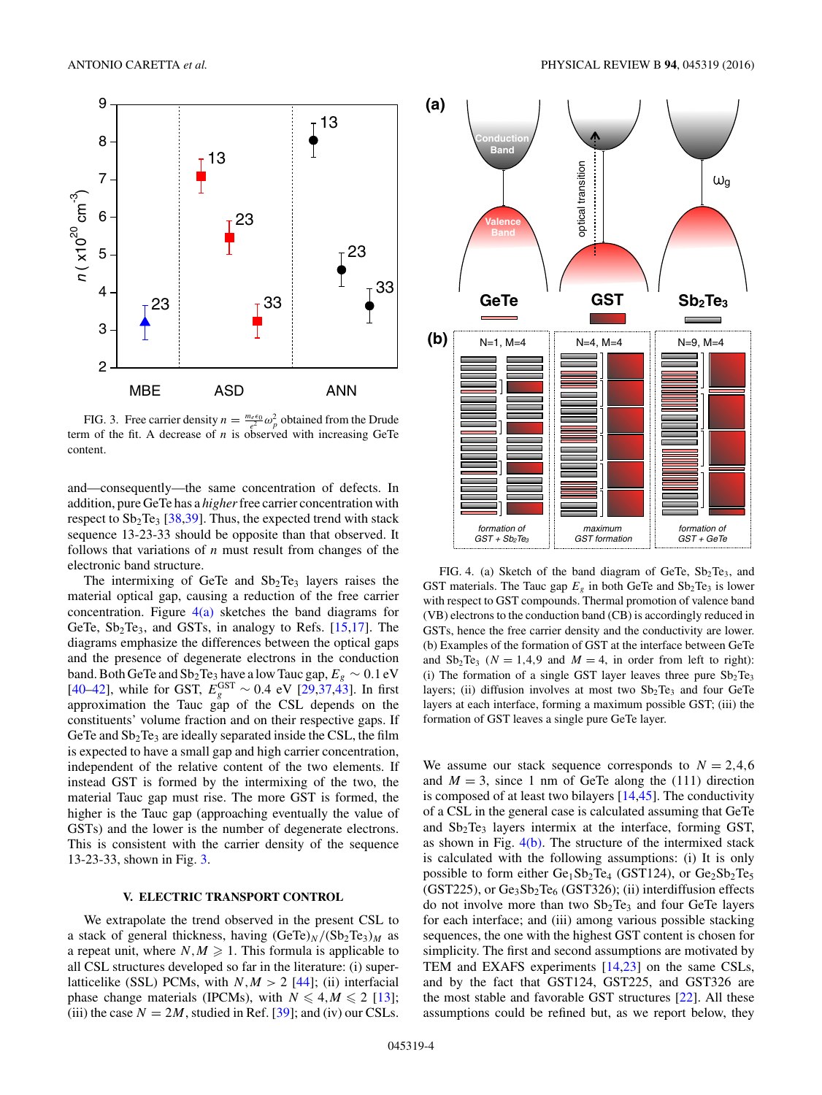<span id="page-3-0"></span>

FIG. 3. Free carrier density  $n = \frac{m_e \epsilon_0}{e^2} \omega_p^2$  obtained from the Drude term of the fit. A decrease of *n* is observed with increasing GeTe content.

and—consequently—the same concentration of defects. In addition, pure GeTe has a *higher*free carrier concentration with respect to  $Sb_2Te_3$  [\[38,39\]](#page-5-0). Thus, the expected trend with stack sequence 13-23-33 should be opposite than that observed. It follows that variations of *n* must result from changes of the electronic band structure.

The intermixing of GeTe and  $Sb<sub>2</sub>Te<sub>3</sub>$  layers raises the material optical gap, causing a reduction of the free carrier concentration. Figure  $4(a)$  sketches the band diagrams for GeTe,  $Sb_2Te_3$ , and GSTs, in analogy to Refs. [\[15,17\]](#page-5-0). The diagrams emphasize the differences between the optical gaps and the presence of degenerate electrons in the conduction band. Both GeTe and Sb<sub>2</sub>Te<sub>3</sub> have a low Tauc gap,  $E_g \sim 0.1 \text{ eV}$  $[40-42]$ , while for GST,  $E_g^{\text{GST}} \sim 0.4$  eV  $[29,37,43]$ . In first approximation the Tauc gap of the CSL depends on the constituents' volume fraction and on their respective gaps. If GeTe and  $Sb<sub>2</sub>Te<sub>3</sub>$  are ideally separated inside the CSL, the film is expected to have a small gap and high carrier concentration, independent of the relative content of the two elements. If instead GST is formed by the intermixing of the two, the material Tauc gap must rise. The more GST is formed, the higher is the Tauc gap (approaching eventually the value of GSTs) and the lower is the number of degenerate electrons. This is consistent with the carrier density of the sequence 13-23-33, shown in Fig. 3.

#### **V. ELECTRIC TRANSPORT CONTROL**

We extrapolate the trend observed in the present CSL to a stack of general thickness, having  $(GeTe)_N/(Sb_2Te_3)_M$  as a repeat unit, where  $N, M \geq 1$ . This formula is applicable to all CSL structures developed so far in the literature: (i) superlatticelike (SSL) PCMs, with  $N, M > 2$  [\[44\]](#page-5-0); (ii) interfacial phase change materials (IPCMs), with  $N \leq 4, M \leq 2$  [\[13\]](#page-5-0); (iii) the case  $N = 2M$ , studied in Ref. [\[39\]](#page-5-0); and (iv) our CSLs.



FIG. 4. (a) Sketch of the band diagram of GeTe,  $Sb<sub>2</sub>Te<sub>3</sub>$ , and GST materials. The Tauc gap  $E<sub>g</sub>$  in both GeTe and  $Sb<sub>2</sub>Te<sub>3</sub>$  is lower with respect to GST compounds. Thermal promotion of valence band (VB) electrons to the conduction band (CB) is accordingly reduced in GSTs, hence the free carrier density and the conductivity are lower. (b) Examples of the formation of GST at the interface between GeTe and  $Sb_2Te_3$  ( $N = 1,4,9$  and  $M = 4$ , in order from left to right): (i) The formation of a single GST layer leaves three pure  $Sb<sub>2</sub>Te<sub>3</sub>$ layers; (ii) diffusion involves at most two  $Sb<sub>2</sub>Te<sub>3</sub>$  and four GeTe layers at each interface, forming a maximum possible GST; (iii) the formation of GST leaves a single pure GeTe layer.

We assume our stack sequence corresponds to  $N = 2,4,6$ and  $M = 3$ , since 1 nm of GeTe along the (111) direction is composed of at least two bilayers [\[14,45\]](#page-5-0). The conductivity of a CSL in the general case is calculated assuming that GeTe and  $Sb<sub>2</sub>Te<sub>3</sub>$  layers intermix at the interface, forming GST, as shown in Fig.  $4(b)$ . The structure of the intermixed stack is calculated with the following assumptions: (i) It is only possible to form either  $Ge_1Sb_2Te_4$  (GST124), or  $Ge_2Sb_2Te_5$  $(GST225)$ , or  $Ge_3Sb_2Te_6$   $(GST326)$ ; (ii) interdiffusion effects do not involve more than two  $Sb<sub>2</sub>Te<sub>3</sub>$  and four GeTe layers for each interface; and (iii) among various possible stacking sequences, the one with the highest GST content is chosen for simplicity. The first and second assumptions are motivated by TEM and EXAFS experiments [\[14,23\]](#page-5-0) on the same CSLs, and by the fact that GST124, GST225, and GST326 are the most stable and favorable GST structures [\[22\]](#page-5-0). All these assumptions could be refined but, as we report below, they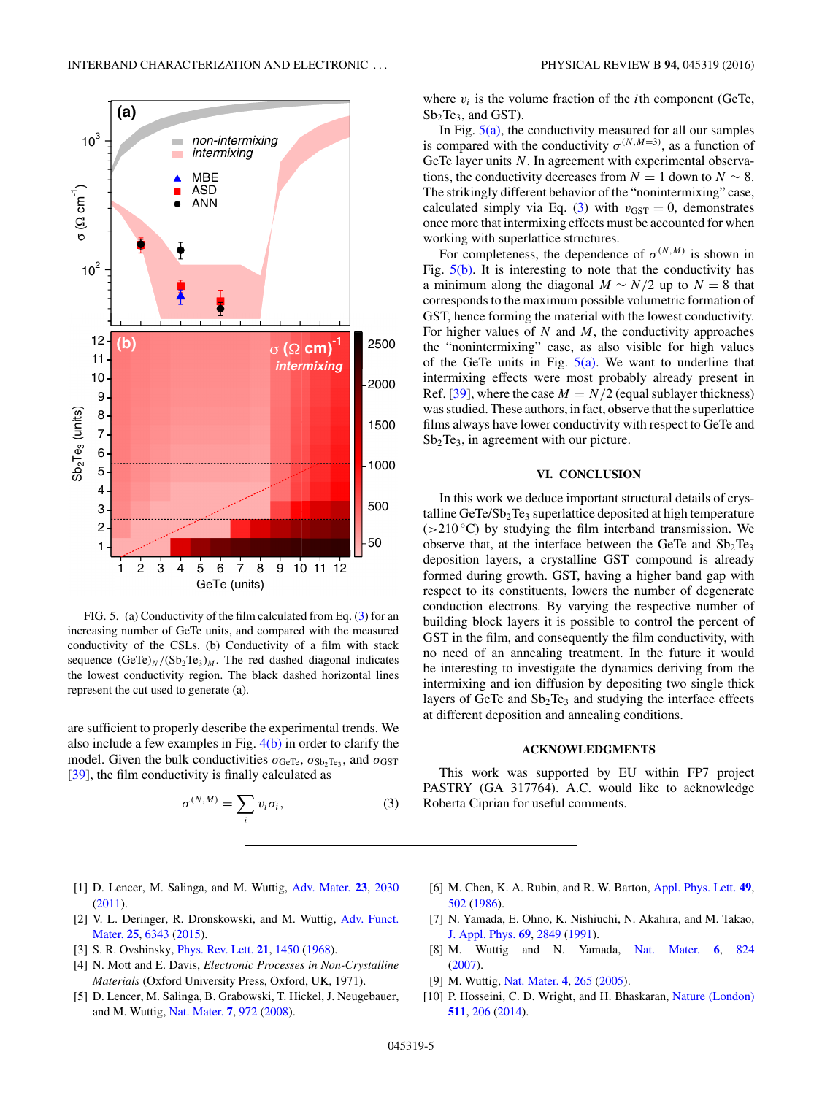<span id="page-4-0"></span>

FIG. 5. (a) Conductivity of the film calculated from Eq. (3) for an increasing number of GeTe units, and compared with the measured conductivity of the CSLs. (b) Conductivity of a film with stack sequence  $(GeTe)_N/(Sb_2Te_3)_M$ . The red dashed diagonal indicates the lowest conductivity region. The black dashed horizontal lines represent the cut used to generate (a).

are sufficient to properly describe the experimental trends. We also include a few examples in Fig.  $4(b)$  in order to clarify the model. Given the bulk conductivities  $\sigma_{\text{GeTe}}$ ,  $\sigma_{\text{Sb}_2 \text{Te}_3}$ , and  $\sigma_{\text{GST}}$ [\[39\]](#page-5-0), the film conductivity is finally calculated as

$$
\sigma^{(N,M)} = \sum_{i} v_i \sigma_i, \tag{3}
$$

where  $v_i$  is the volume fraction of the *i*th component (GeTe,  $Sb<sub>2</sub>Te<sub>3</sub>$ , and GST).

In Fig.  $5(a)$ , the conductivity measured for all our samples is compared with the conductivity  $\sigma^{(N,M=3)}$ , as a function of GeTe layer units N. In agreement with experimental observations, the conductivity decreases from  $N = 1$  down to  $N \sim 8$ . The strikingly different behavior of the "nonintermixing" case, calculated simply via Eq. (3) with  $v_{\text{GST}} = 0$ , demonstrates once more that intermixing effects must be accounted for when working with superlattice structures.

For completeness, the dependence of  $\sigma^{(N,M)}$  is shown in Fig.  $5(b)$ . It is interesting to note that the conductivity has a minimum along the diagonal  $M \sim N/2$  up to  $N = 8$  that corresponds to the maximum possible volumetric formation of GST, hence forming the material with the lowest conductivity. For higher values of *N* and *M*, the conductivity approaches the "nonintermixing" case, as also visible for high values of the GeTe units in Fig.  $5(a)$ . We want to underline that intermixing effects were most probably already present in Ref. [\[39\]](#page-5-0), where the case  $M = N/2$  (equal sublayer thickness) was studied. These authors, in fact, observe that the superlattice films always have lower conductivity with respect to GeTe and  $Sb<sub>2</sub>Te<sub>3</sub>$ , in agreement with our picture.

## **VI. CONCLUSION**

In this work we deduce important structural details of crystalline  $GeTe/Sb<sub>2</sub>Te<sub>3</sub>$  superlattice deposited at high temperature (*>*210 ◦C) by studying the film interband transmission. We observe that, at the interface between the GeTe and  $Sb<sub>2</sub>Te<sub>3</sub>$ deposition layers, a crystalline GST compound is already formed during growth. GST, having a higher band gap with respect to its constituents, lowers the number of degenerate conduction electrons. By varying the respective number of building block layers it is possible to control the percent of GST in the film, and consequently the film conductivity, with no need of an annealing treatment. In the future it would be interesting to investigate the dynamics deriving from the intermixing and ion diffusion by depositing two single thick layers of GeTe and  $Sb<sub>2</sub>Te<sub>3</sub>$  and studying the interface effects at different deposition and annealing conditions.

### **ACKNOWLEDGMENTS**

This work was supported by EU within FP7 project PASTRY (GA 317764). A.C. would like to acknowledge Roberta Ciprian for useful comments.

- [1] D. Lencer, M. Salinga, and M. Wuttig, [Adv. Mater.](http://dx.doi.org/10.1002/adma.201004255) **[23](http://dx.doi.org/10.1002/adma.201004255)**, [2030](http://dx.doi.org/10.1002/adma.201004255) [\(2011\)](http://dx.doi.org/10.1002/adma.201004255).
- [2] [V. L. Deringer, R. Dronskowski, and M. Wuttig,](http://dx.doi.org/10.1002/adfm.201500826) Adv. Funct. Mater. **[25](http://dx.doi.org/10.1002/adfm.201500826)**, [6343](http://dx.doi.org/10.1002/adfm.201500826) [\(2015\)](http://dx.doi.org/10.1002/adfm.201500826).
- [3] S. R. Ovshinsky, [Phys. Rev. Lett.](http://dx.doi.org/10.1103/PhysRevLett.21.1450) **[21](http://dx.doi.org/10.1103/PhysRevLett.21.1450)**, [1450](http://dx.doi.org/10.1103/PhysRevLett.21.1450) [\(1968\)](http://dx.doi.org/10.1103/PhysRevLett.21.1450).
- [4] N. Mott and E. Davis, *Electronic Processes in Non-Crystalline Materials* (Oxford University Press, Oxford, UK, 1971).
- [5] D. Lencer, M. Salinga, B. Grabowski, T. Hickel, J. Neugebauer, and M. Wuttig, [Nat. Mater.](http://dx.doi.org/10.1038/nmat2330) **[7](http://dx.doi.org/10.1038/nmat2330)**, [972](http://dx.doi.org/10.1038/nmat2330) [\(2008\)](http://dx.doi.org/10.1038/nmat2330).
- [6] M. Chen, K. A. Rubin, and R. W. Barton, [Appl. Phys. Lett.](http://dx.doi.org/10.1063/1.97617) **[49](http://dx.doi.org/10.1063/1.97617)**, [502](http://dx.doi.org/10.1063/1.97617) [\(1986\)](http://dx.doi.org/10.1063/1.97617).
- [7] N. Yamada, E. Ohno, K. Nishiuchi, N. Akahira, and M. Takao, [J. Appl. Phys.](http://dx.doi.org/10.1063/1.348620) **[69](http://dx.doi.org/10.1063/1.348620)**, [2849](http://dx.doi.org/10.1063/1.348620) [\(1991\)](http://dx.doi.org/10.1063/1.348620).
- [8] M. Wuttig and N. Yamada, [Nat. Mater.](http://dx.doi.org/10.1038/nmat2009) **[6](http://dx.doi.org/10.1038/nmat2009)**, [824](http://dx.doi.org/10.1038/nmat2009) [\(2007\)](http://dx.doi.org/10.1038/nmat2009).
- [9] M. Wuttig, [Nat. Mater.](http://dx.doi.org/10.1038/nmat1359) **[4](http://dx.doi.org/10.1038/nmat1359)**, [265](http://dx.doi.org/10.1038/nmat1359) [\(2005\)](http://dx.doi.org/10.1038/nmat1359).
- [10] P. Hosseini, C. D. Wright, and H. Bhaskaran, [Nature \(London\)](http://dx.doi.org/10.1038/nature13487) **[511](http://dx.doi.org/10.1038/nature13487)**, [206](http://dx.doi.org/10.1038/nature13487) [\(2014\)](http://dx.doi.org/10.1038/nature13487).